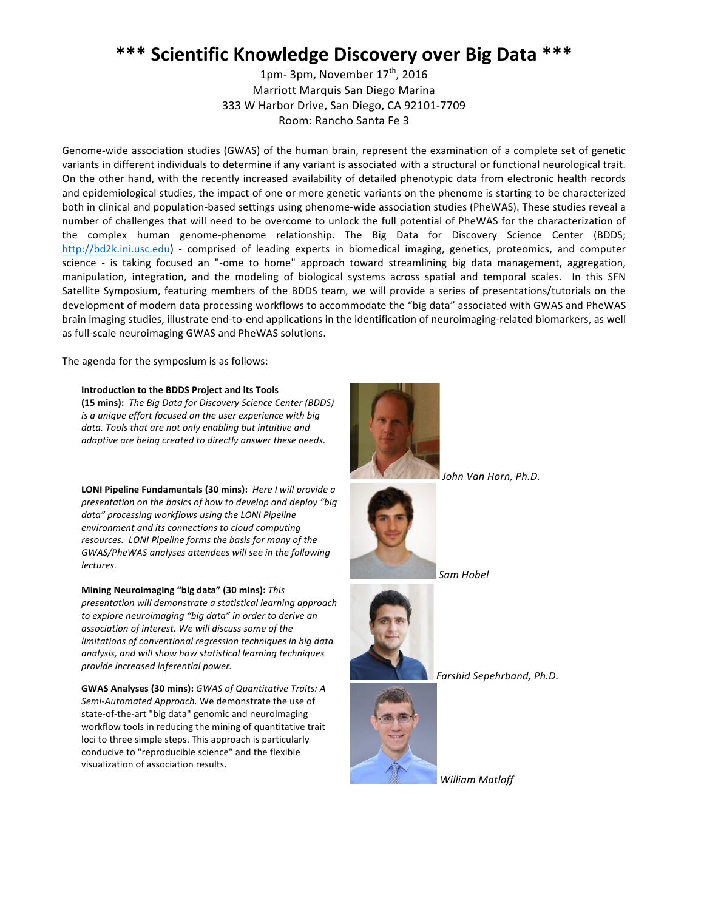## \*\*\* Scientific Knowledge Discovery over Big Data \*\*\*

1pm- 3pm, November  $17<sup>th</sup>$ , 2016 Marriott Marquis San Diego Marina 333 W Harbor Drive, San Diego, CA 92101-7709 Room: Rancho Santa Fe 3

Genome-wide association studies (GWAS) of the human brain, represent the examination of a complete set of genetic variants in different individuals to determine if any variant is associated with a structural or functional neurological trait. On the other hand, with the recently increased availability of detailed phenotypic data from electronic health records and epidemiological studies, the impact of one or more genetic variants on the phenome is starting to be characterized both in clinical and population-based settings using phenome-wide association studies (PheWAS). These studies reveal a number of challenges that will need to be overcome to unlock the full potential of PheWAS for the characterization of the complex human genome-phenome relationship. The Big Data for Discovery Science Center (BDDS; <http://bd2k.ini.usc.edu>) - comprised of leading experts in biomedical imaging, genetics, proteomics, and computer science - is taking focused an "-ome to home" approach toward streamlining big data management, aggregation, manipulation, integration, and the modeling of biological systems across spatial and temporal scales. In this SFN Satellite Symposium, featuring members of the BDDS team, we will provide a series of presentations/tutorials on the development of modern data processing workflows to accommodate the "big data" associated with GWAS and PheWAS brain imaging studies, illustrate end-to-end applications in the identification of neuroimaging-related biomarkers, as well as full-scale neuroimaging GWAS and PheWAS solutions.

The agenda for the symposium is as follows:

## **Introduction to the BDDS Project and its Tools**

**(15 mins):** The Big Data for Discovery Science Center (BDDS) *is a unique effort focused on the user experience with big* data. Tools that are not only enabling but intuitive and adaptive are being created to directly answer these needs.

**LONI Pipeline Fundamentals (30 mins):** Here I will provide a *presentation on the basics of how to develop and deploy "big* data" processing workflows using the LONI Pipeline environment and its connections to cloud computing resources. LONI Pipeline forms the basis for many of the GWAS/PheWAS analyses attendees will see in the following *lectures.*

**Mining Neuroimaging "big data" (30 mins):** This *presentation will demonstrate a statistical learning approach*  to explore neuroimaging "big data" in order to derive an association of interest. We will discuss some of the *limitations of conventional regression techniques in big data* analysis, and will show how statistical learning techniques *provide increased inferential power.* **Farshid Sepehrband, Ph.D. Farshid Sepehrband, Ph.D.** 

**GWAS Analyses (30 mins):** GWAS of Quantitative Traits: A Semi-Automated Approach. We demonstrate the use of state-of-the-art "big data" genomic and neuroimaging workflow tools in reducing the mining of quantitative trait loci to three simple steps. This approach is particularly conducive to "reproducible science" and the flexible visualization of association results.



*John Van Horn, Ph.D.*



*Sam Hobel*



*William Matloff*